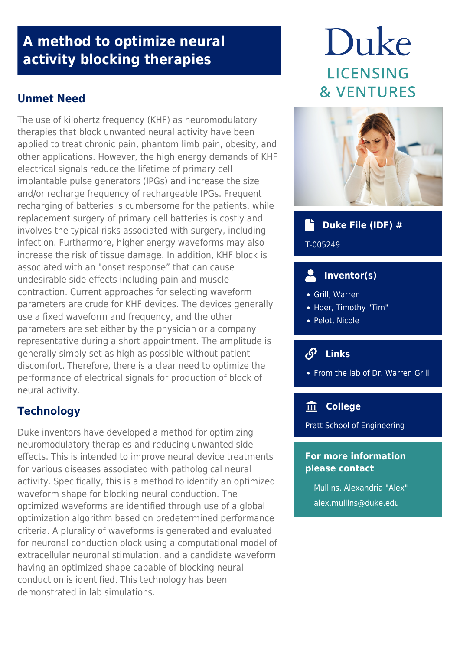# **A method to optimize neural activity blocking therapies**

# **Unmet Need**

The use of kilohertz frequency (KHF) as neuromodulatory therapies that block unwanted neural activity have been applied to treat chronic pain, phantom limb pain, obesity, and other applications. However, the high energy demands of KHF electrical signals reduce the lifetime of primary cell implantable pulse generators (IPGs) and increase the size and/or recharge frequency of rechargeable IPGs. Frequent recharging of batteries is cumbersome for the patients, while replacement surgery of primary cell batteries is costly and involves the typical risks associated with surgery, including infection. Furthermore, higher energy waveforms may also increase the risk of tissue damage. In addition, KHF block is associated with an "onset response" that can cause undesirable side effects including pain and muscle contraction. Current approaches for selecting waveform parameters are crude for KHF devices. The devices generally use a fixed waveform and frequency, and the other parameters are set either by the physician or a company representative during a short appointment. The amplitude is generally simply set as high as possible without patient discomfort. Therefore, there is a clear need to optimize the performance of electrical signals for production of block of neural activity.

# **Technology**

Duke inventors have developed a method for optimizing neuromodulatory therapies and reducing unwanted side effects. This is intended to improve neural device treatments for various diseases associated with pathological neural activity. Specifically, this is a method to identify an optimized waveform shape for blocking neural conduction. The optimized waveforms are identified through use of a global optimization algorithm based on predetermined performance criteria. A plurality of waveforms is generated and evaluated for neuronal conduction block using a computational model of extracellular neuronal stimulation, and a candidate waveform having an optimized shape capable of blocking neural conduction is identified. This technology has been demonstrated in lab simulations.

# Duke **LICENSING & VENTURES**



# **Duke File (IDF) #**

T-005249

# **Inventor(s)**

- Grill, Warren
- Hoer, Timothy "Tim"
- Pelot, Nicole

# **Links**

• [From the lab of Dr. Warren Grill](https://grill-lab.pratt.duke.edu/)

### **College**

Pratt School of Engineering

### **For more information please contact**

Mullins, Alexandria "Alex" [alex.mullins@duke.edu](mailto:alex.mullins@duke.edu)